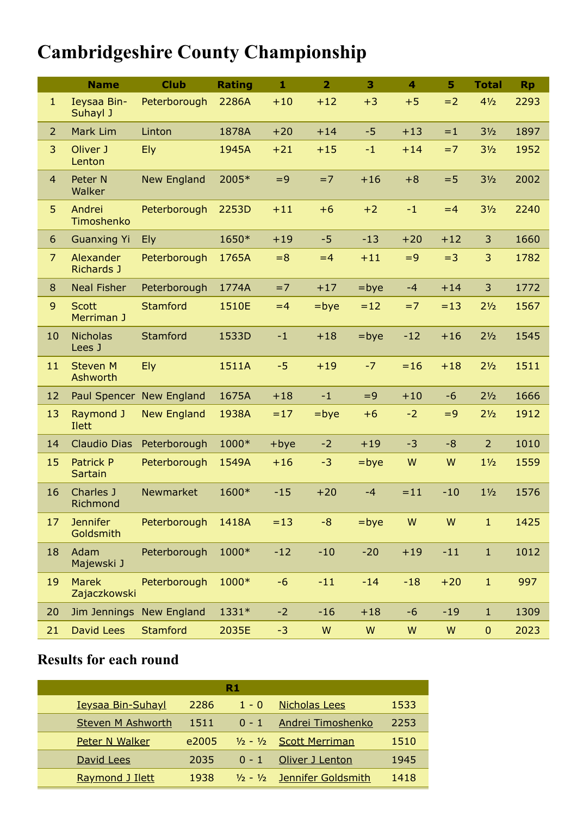## **Cambridgeshire County Championship**

|                | <b>Name</b>                        | <b>Club</b>              | <b>Rating</b> | $\mathbf{1}$ | $\overline{2}$ | 3       | $\overline{\mathbf{4}}$ | 5     | <b>Total</b>     | <b>Rp</b> |
|----------------|------------------------------------|--------------------------|---------------|--------------|----------------|---------|-------------------------|-------|------------------|-----------|
| $\mathbf{1}$   | Ieysaa Bin-<br>Suhayl J            | Peterborough             | 2286A         | $+10$        | $+12$          | $+3$    | $+5$                    | $=2$  | 41/2             | 2293      |
| $\overline{2}$ | Mark Lim                           | Linton                   | 1878A         | $+20$        | $+14$          | $-5$    | $+13$                   | $=1$  | 3 <sub>2</sub>   | 1897      |
| 3              | Oliver J<br>Lenton                 | <b>Ely</b>               | 1945A         | $+21$        | $+15$          | $-1$    | $+14$                   | $=7$  | 3 <sub>2</sub>   | 1952      |
| $\overline{4}$ | Peter N<br>Walker                  | <b>New England</b>       | 2005*         | $=9$         | $=7$           | $+16$   | $+8$                    | $= 5$ | 3 <sub>2</sub>   | 2002      |
| 5              | Andrei<br>Timoshenko               | Peterborough             | 2253D         | $+11$        | $+6$           | $+2$    | $-1$                    | $=4$  | 3 <sub>2</sub>   | 2240      |
| 6              | <b>Guanxing Yi</b>                 | <b>Ely</b>               | 1650*         | $+19$        | $-5$           | $-13$   | $+20$                   | $+12$ | 3                | 1660      |
| $\overline{7}$ | Alexander<br><b>Richards J</b>     | Peterborough             | 1765A         | $= 8$        | $=4$           | $+11$   | $=9$                    | $=3$  | 3                | 1782      |
| 8              | <b>Neal Fisher</b>                 | Peterborough             | 1774A         | $=7$         | $+17$          | $=$ bye | $-4$                    | $+14$ | 3                | 1772      |
| $\mathsf 9$    | <b>Scott</b><br>Merriman J         | <b>Stamford</b>          | 1510E         | $=4$         | $=$ bye        | $=12$   | $=7$                    | $=13$ | 2 <sub>1/2</sub> | 1567      |
| 10             | <b>Nicholas</b><br>Lees J          | Stamford                 | 1533D         | $-1$         | $+18$          | $=$ bye | $-12$                   | $+16$ | 2 <sub>1/2</sub> | 1545      |
| 11             | <b>Steven M</b><br>Ashworth        | Ely                      | 1511A         | $-5$         | $+19$          | $-7$    | $= 16$                  | $+18$ | 2 <sub>1/2</sub> | 1511      |
| 12             |                                    | Paul Spencer New England | 1675A         | $+18$        | $-1$           | $=9$    | $+10$                   | $-6$  | 2 <sub>1/2</sub> | 1666      |
| 13             | Raymond J<br>Ilett                 | <b>New England</b>       | 1938A         | $=17$        | $=$ bye        | $+6$    | $-2$                    | $=9$  | 2 <sub>1/2</sub> | 1912      |
| 14             | <b>Claudio Dias</b>                | Peterborough             | 1000*         | $+$ bye      | $-2$           | $+19$   | $-3$                    | $-8$  | $\overline{2}$   | 1010      |
| 15             | <b>Patrick P</b><br><b>Sartain</b> | Peterborough             | 1549A         | $+16$        | $-3$           | $=$ bye | W                       | W     | $1\frac{1}{2}$   | 1559      |
| 16             | Charles J<br>Richmond              | Newmarket                | 1600*         | $-15$        | $+20$          | $-4$    | $=11$                   | $-10$ | $1\frac{1}{2}$   | 1576      |
| 17             | <b>Jennifer</b><br>Goldsmith       | Peterborough             | 1418A         | $=13$        | $-8$           | $=$ bye | ${\sf W}$               | W     | $1\,$            | 1425      |
| 18             | Adam<br>Majewski J                 | Peterborough             | 1000*         | $-12$        | $-10$          | $-20$   | $+19$                   | $-11$ | $\mathbf{1}$     | 1012      |
| 19             | <b>Marek</b><br>Zajaczkowski       | Peterborough             | 1000*         | $-6$         | $-11$          | $-14$   | $-18$                   | $+20$ | $\mathbf{1}$     | 997       |
| 20             |                                    | Jim Jennings New England | 1331*         | $-2$         | $-16$          | $+18$   | $-6$                    | $-19$ | $\mathbf{1}$     | 1309      |
| 21             | <b>David Lees</b>                  | <b>Stamford</b>          | 2035E         | $-3$         | W              | W       | W                       | W     | $\mathbf{0}$     | 2023      |

## **Results for each round**

| R1                       |       |         |                                |      |  |  |  |
|--------------------------|-------|---------|--------------------------------|------|--|--|--|
| <b>Ieysaa Bin-Suhayl</b> | 2286  | $1 - 0$ | <b>Nicholas Lees</b>           | 1533 |  |  |  |
| <b>Steven M Ashworth</b> | 1511  | $0 - 1$ | Andrei Timoshenko              | 2253 |  |  |  |
| <b>Peter N Walker</b>    | e2005 |         | $1/2 - 1/2$ Scott Merriman     | 1510 |  |  |  |
| David Lees               | 2035  | $0 - 1$ | Oliver J Lenton                | 1945 |  |  |  |
| Raymond J Ilett          | 1938  |         | $1/2 - 1/2$ Jennifer Goldsmith | 1418 |  |  |  |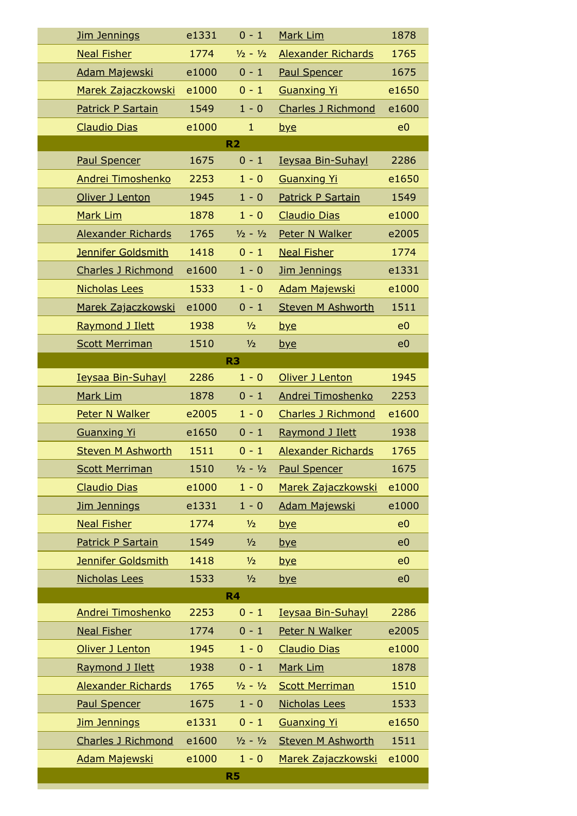| Jim Jennings              | e1331 | $0 - 1$        | Mark Lim                  | 1878           |  |  |  |
|---------------------------|-------|----------------|---------------------------|----------------|--|--|--|
| <b>Neal Fisher</b>        | 1774  | $1/2 - 1/2$    | Alexander Richards        | 1765           |  |  |  |
| Adam Majewski             | e1000 | $0 - 1$        | <b>Paul Spencer</b>       | 1675           |  |  |  |
| Marek Zajaczkowski        | e1000 | $0 - 1$        | <b>Guanxing Yi</b>        | e1650          |  |  |  |
| Patrick P Sartain         | 1549  | $1 - 0$        | <b>Charles J Richmond</b> | e1600          |  |  |  |
| <b>Claudio Dias</b>       | e1000 | $\mathbf{1}$   | bye                       | e <sub>0</sub> |  |  |  |
| R <sub>2</sub>            |       |                |                           |                |  |  |  |
| <b>Paul Spencer</b>       | 1675  | $0 - 1$        | <b>Ieysaa Bin-Suhayl</b>  | 2286           |  |  |  |
| Andrei Timoshenko         | 2253  | $1 - 0$        | <b>Guanxing Yi</b>        | e1650          |  |  |  |
| Oliver J Lenton           | 1945  | $1 - 0$        | <b>Patrick P Sartain</b>  | 1549           |  |  |  |
| Mark Lim                  | 1878  | $1 - 0$        | <b>Claudio Dias</b>       | e1000          |  |  |  |
| <b>Alexander Richards</b> | 1765  | $1/2 - 1/2$    | Peter N Walker            | e2005          |  |  |  |
| Jennifer Goldsmith        | 1418  | $0 - 1$        | <b>Neal Fisher</b>        | 1774           |  |  |  |
| <b>Charles J Richmond</b> | e1600 | $1 - 0$        | Jim Jennings              | e1331          |  |  |  |
| <b>Nicholas Lees</b>      | 1533  | $1 - 0$        | <b>Adam Majewski</b>      | e1000          |  |  |  |
| Marek Zajaczkowski        | e1000 | $0 - 1$        | <b>Steven M Ashworth</b>  | 1511           |  |  |  |
| Raymond J Ilett           | 1938  | $\frac{1}{2}$  | bye                       | e <sub>0</sub> |  |  |  |
| <b>Scott Merriman</b>     | 1510  | $\frac{1}{2}$  | <u>bye</u>                | e <sub>0</sub> |  |  |  |
| R <sub>3</sub>            |       |                |                           |                |  |  |  |
| <b>Ieysaa Bin-Suhayl</b>  | 2286  | $1 - 0$        | Oliver J Lenton           | 1945           |  |  |  |
| Mark Lim                  | 1878  | $0 - 1$        | Andrei Timoshenko         | 2253           |  |  |  |
| Peter N Walker            | e2005 | $1 - 0$        | <b>Charles J Richmond</b> | e1600          |  |  |  |
| <b>Guanxing Yi</b>        | e1650 | $0 - 1$        | Raymond J Ilett           | 1938           |  |  |  |
| <b>Steven M Ashworth</b>  | 1511  | $0 - 1$        | <b>Alexander Richards</b> | 1765           |  |  |  |
| <b>Scott Merriman</b>     | 1510  | $1/2 - 1/2$    | <b>Paul Spencer</b>       | 1675           |  |  |  |
| <b>Claudio Dias</b>       | e1000 | $1 - 0$        | Marek Zajaczkowski        | e1000          |  |  |  |
| <b>Jim Jennings</b>       | e1331 | $1 - 0$        | Adam Majewski             | e1000          |  |  |  |
| <b>Neal Fisher</b>        | 1774  | $\frac{1}{2}$  | <u>bye</u>                | e <sub>0</sub> |  |  |  |
| <b>Patrick P Sartain</b>  | 1549  | $\frac{1}{2}$  | <u>bye</u>                | e <sub>0</sub> |  |  |  |
| Jennifer Goldsmith        | 1418  | 1/2            | <u>bye</u>                | e <sub>0</sub> |  |  |  |
| <b>Nicholas Lees</b>      | 1533  | $\frac{1}{2}$  | <u>bye</u>                | e <sub>0</sub> |  |  |  |
|                           |       | R <sub>4</sub> |                           |                |  |  |  |
| Andrei Timoshenko         | 2253  | $0 - 1$        | <b>Ieysaa Bin-Suhayl</b>  | 2286           |  |  |  |
| <b>Neal Fisher</b>        | 1774  | $0 - 1$        | Peter N Walker            | e2005          |  |  |  |
| Oliver J Lenton           | 1945  | $1 - 0$        | <b>Claudio Dias</b>       | e1000          |  |  |  |
| Raymond J Ilett           | 1938  | $0 - 1$        | Mark Lim                  | 1878           |  |  |  |
| Alexander Richards        | 1765  | $1/2 - 1/2$    | <b>Scott Merriman</b>     | 1510           |  |  |  |
| <b>Paul Spencer</b>       | 1675  | $1 - 0$        | <b>Nicholas Lees</b>      | 1533           |  |  |  |
| <b>Jim Jennings</b>       | e1331 | $0 - 1$        | <b>Guanxing Yi</b>        | e1650          |  |  |  |
| <b>Charles J Richmond</b> | e1600 | $1/2 - 1/2$    | <b>Steven M Ashworth</b>  | 1511           |  |  |  |
| Adam Majewski             | e1000 | $1 - 0$        | Marek Zajaczkowski        | e1000          |  |  |  |
|                           |       | <b>R5</b>      |                           |                |  |  |  |

**R5**